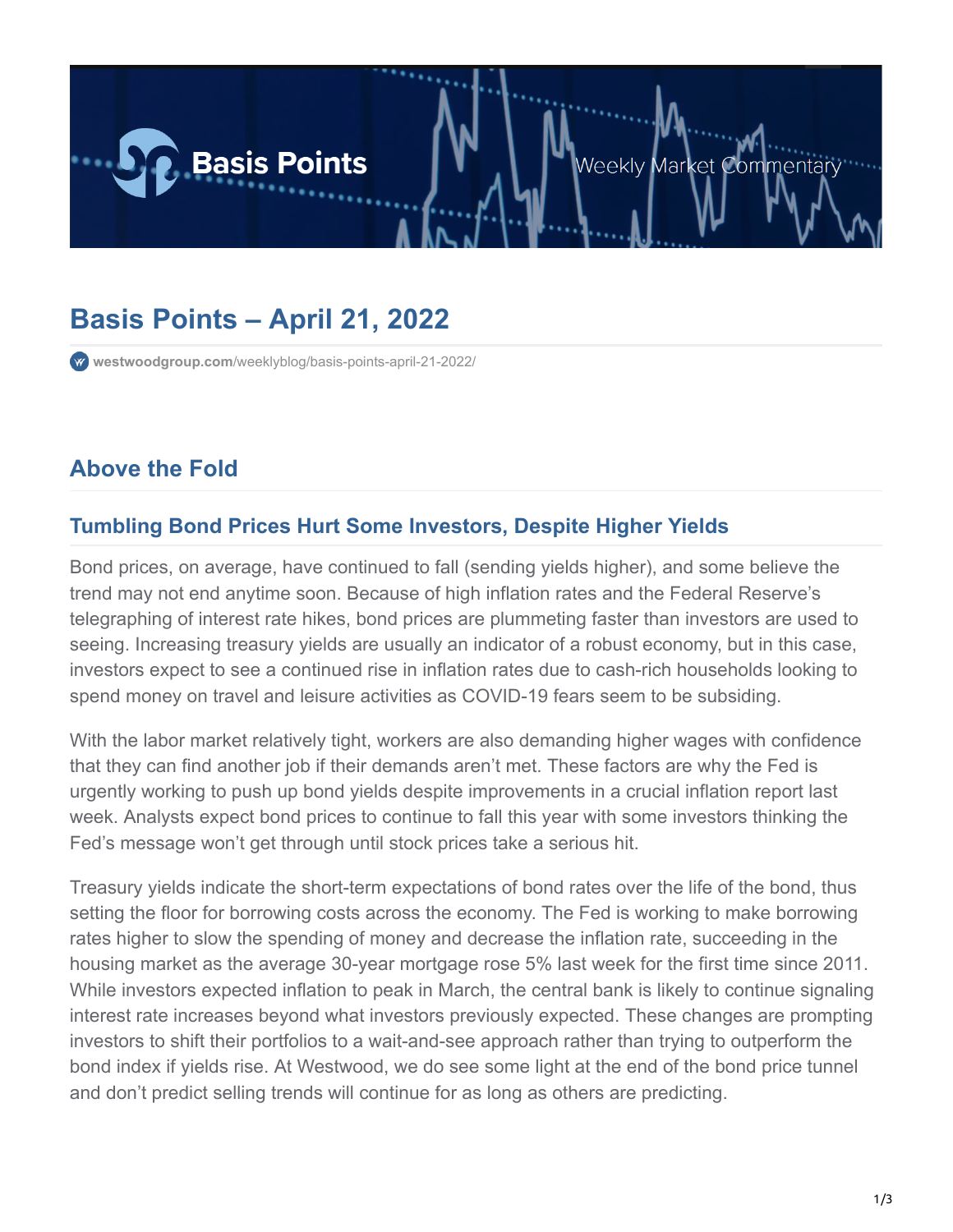

# **Basis Points – April 21, 2022**

**westwoodgroup.com**[/weeklyblog/basis-points-april-21-2022/](https://westwoodgroup.com/weeklyblog/basis-points-april-21-2022/)

### **Above the Fold**

#### **Tumbling Bond Prices Hurt Some Investors, Despite Higher Yields**

Bond prices, on average, have continued to fall (sending yields higher), and some believe the trend may not end anytime soon. Because of high inflation rates and the Federal Reserve's telegraphing of interest rate hikes, bond prices are plummeting faster than investors are used to seeing. Increasing treasury yields are usually an indicator of a robust economy, but in this case, investors expect to see a continued rise in inflation rates due to cash-rich households looking to spend money on travel and leisure activities as COVID-19 fears seem to be subsiding.

With the labor market relatively tight, workers are also demanding higher wages with confidence that they can find another job if their demands aren't met. These factors are why the Fed is urgently working to push up bond yields despite improvements in a crucial inflation report last week. Analysts expect bond prices to continue to fall this year with some investors thinking the Fed's message won't get through until stock prices take a serious hit.

Treasury yields indicate the short-term expectations of bond rates over the life of the bond, thus setting the floor for borrowing costs across the economy. The Fed is working to make borrowing rates higher to slow the spending of money and decrease the inflation rate, succeeding in the housing market as the average 30-year mortgage rose 5% last week for the first time since 2011. While investors expected inflation to peak in March, the central bank is likely to continue signaling interest rate increases beyond what investors previously expected. These changes are prompting investors to shift their portfolios to a wait-and-see approach rather than trying to outperform the bond index if yields rise. At Westwood, we do see some light at the end of the bond price tunnel and don't predict selling trends will continue for as long as others are predicting.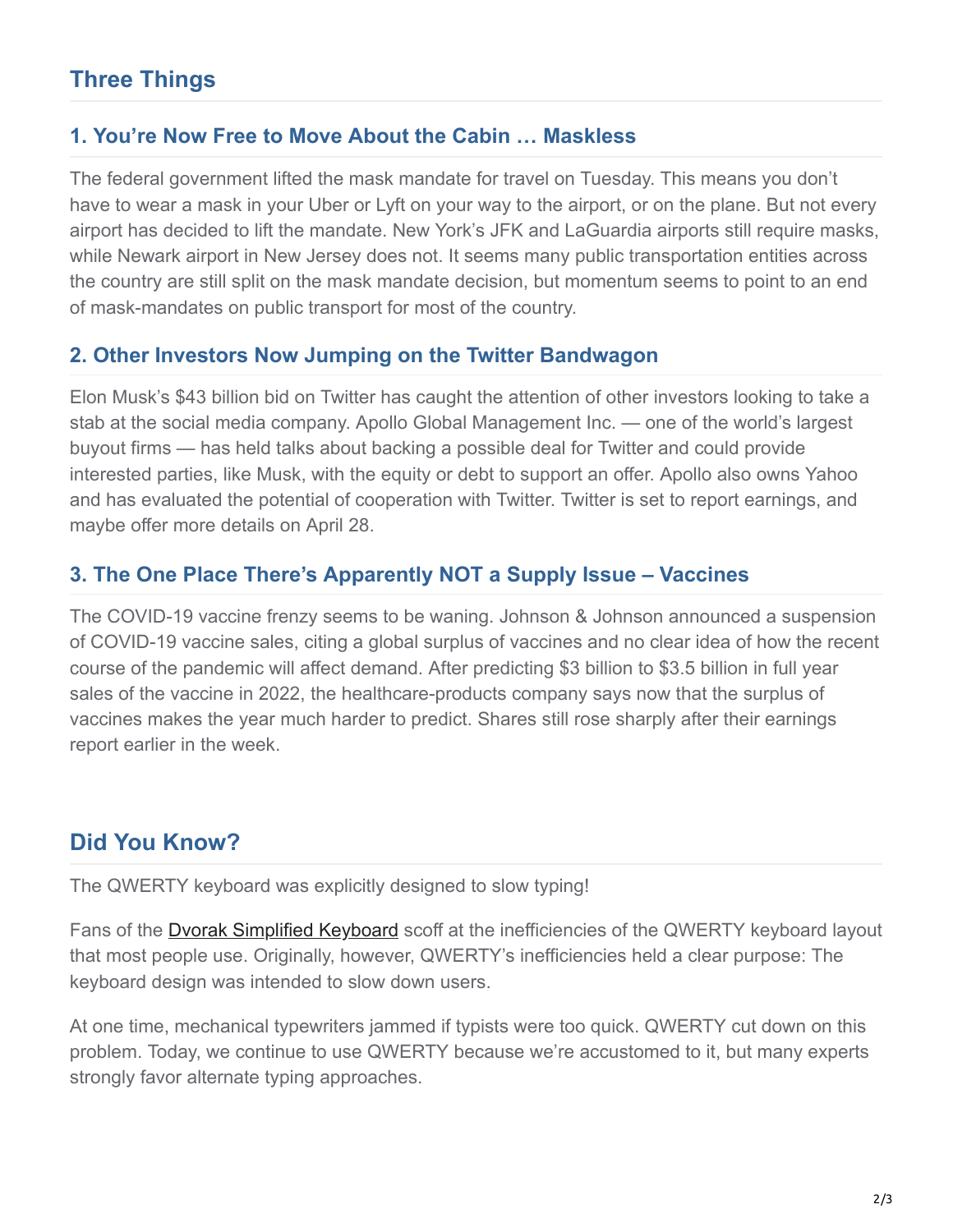## **Three Things**

#### **1. You're Now Free to Move About the Cabin … Maskless**

The federal government lifted the mask mandate for travel on Tuesday. This means you don't have to wear a mask in your Uber or Lyft on your way to the airport, or on the plane. But not every airport has decided to lift the mandate. New York's JFK and LaGuardia airports still require masks, while Newark airport in New Jersey does not. It seems many public transportation entities across the country are still split on the mask mandate decision, but momentum seems to point to an end of mask-mandates on public transport for most of the country.

#### **2. Other Investors Now Jumping on the Twitter Bandwagon**

Elon Musk's \$43 billion bid on Twitter has caught the attention of other investors looking to take a stab at the social media company. Apollo Global Management Inc. — one of the world's largest buyout firms — has held talks about backing a possible deal for Twitter and could provide interested parties, like Musk, with the equity or debt to support an offer. Apollo also owns Yahoo and has evaluated the potential of cooperation with Twitter. Twitter is set to report earnings, and maybe offer more details on April 28.

#### **3. The One Place There's Apparently NOT a Supply Issue – Vaccines**

The COVID-19 vaccine frenzy seems to be waning. Johnson & Johnson announced a suspension of COVID-19 vaccine sales, citing a global surplus of vaccines and no clear idea of how the recent course of the pandemic will affect demand. After predicting \$3 billion to \$3.5 billion in full year sales of the vaccine in 2022, the healthcare-products company says now that the surplus of vaccines makes the year much harder to predict. Shares still rose sharply after their earnings report earlier in the week.

### **Did You Know?**

The QWERTY keyboard was explicitly designed to slow typing!

Fans of the **Dvorak Simplified Keyboard** scoff at the inefficiencies of the QWERTY keyboard layout that most people use. Originally, however, QWERTY's inefficiencies held a clear purpose: The keyboard design was intended to slow down users.

At one time, mechanical typewriters jammed if typists were too quick. QWERTY cut down on this problem. Today, we continue to use QWERTY because we're accustomed to it, but many experts strongly favor alternate typing approaches.